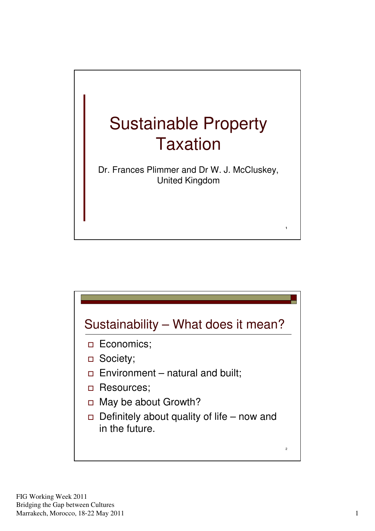

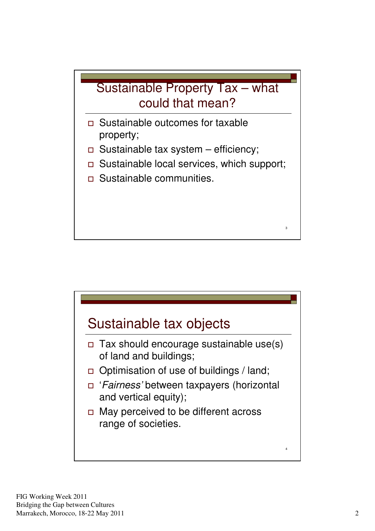## Sustainable Property Tax – what could that mean?

- Sustainable outcomes for taxable property;
- $\square$  Sustainable tax system efficiency;
- □ Sustainable local services, which support;

3

Sustainable communities.

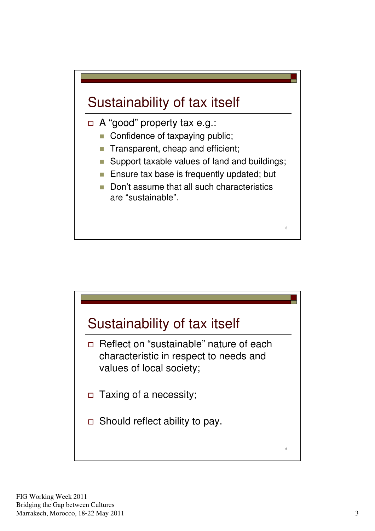

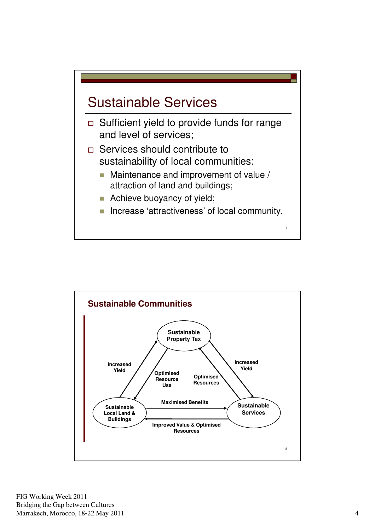

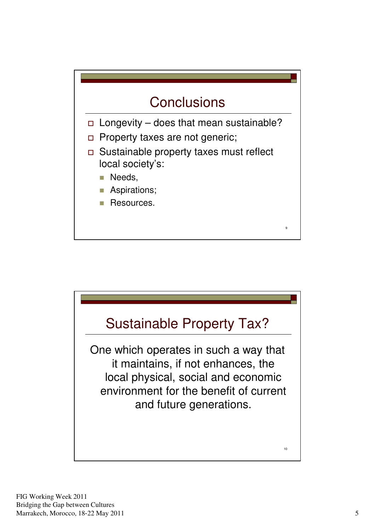## **Conclusions**

- $\Box$  Longevity does that mean sustainable?
- **Property taxes are not generic;**
- Sustainable property taxes must reflect local society's:

9

- **Needs**,
- **Aspirations**;
- -Resources.